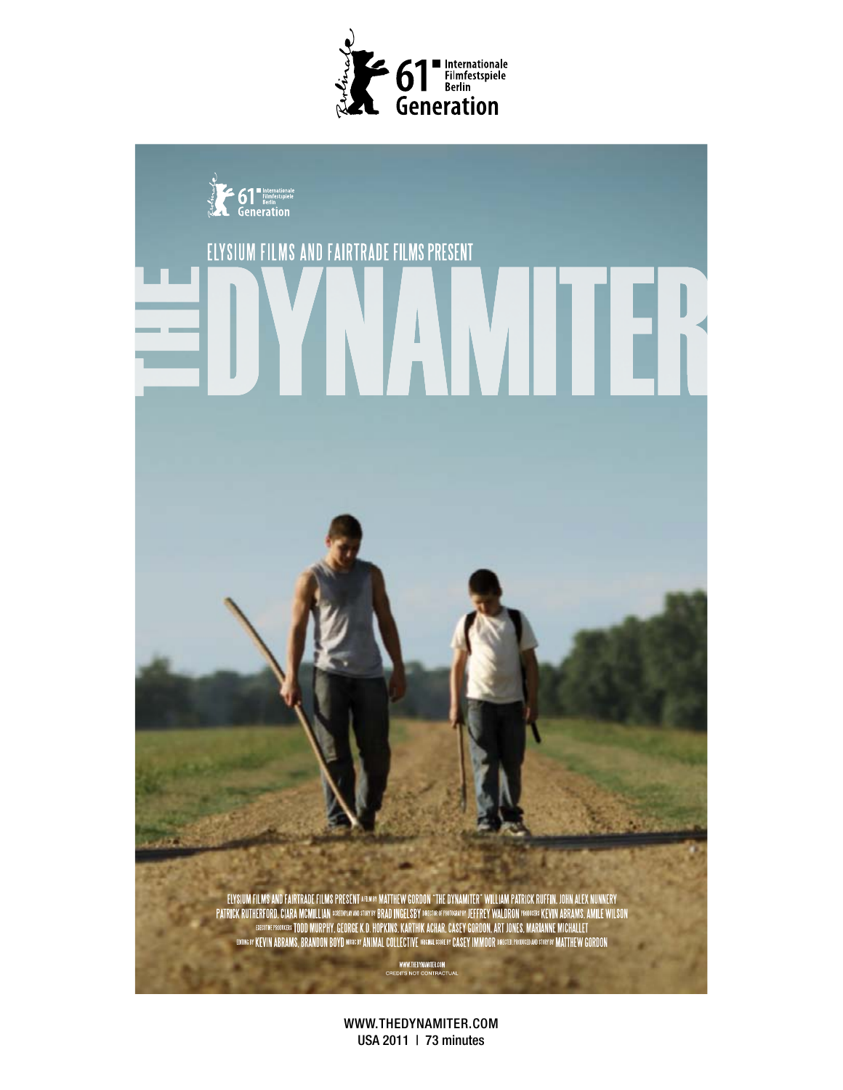



WWW.THEDYNAMITER.COM USA 2011 | 73 minutes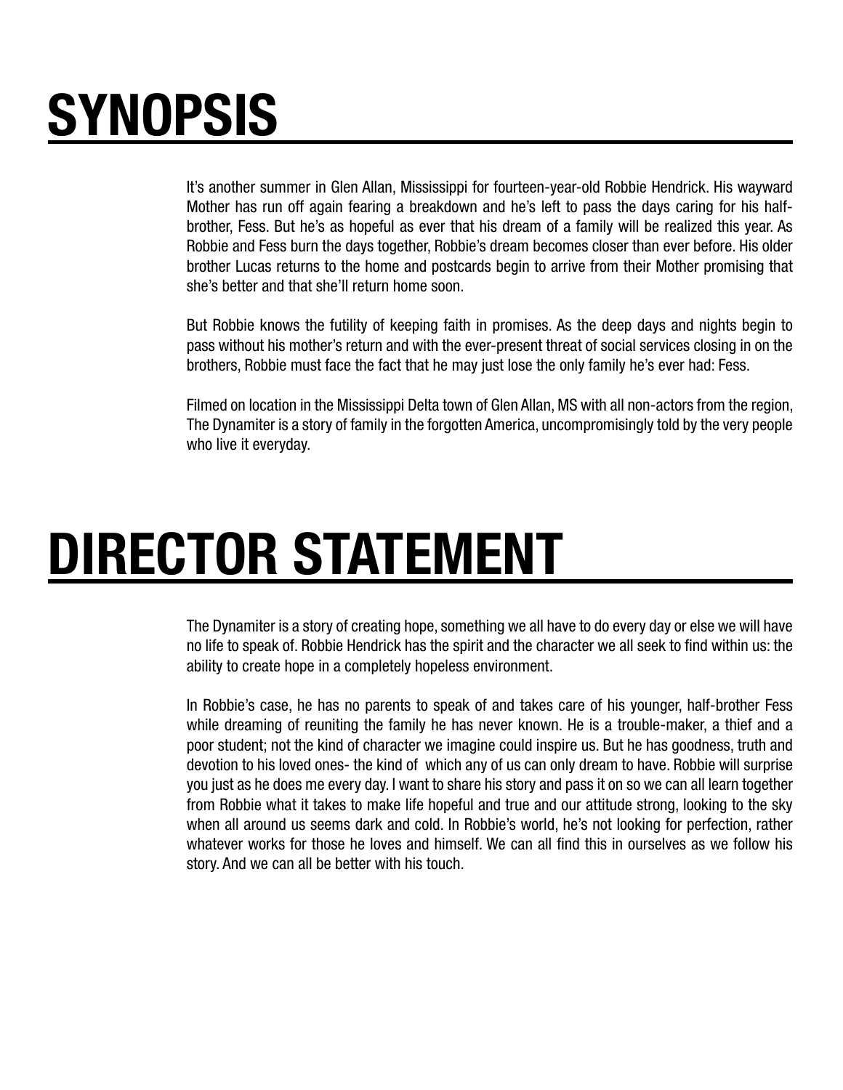## SYNOPSIS

It's another summer in Glen Allan, Mississippi for fourteen-year-old Robbie Hendrick. His wayward Mother has run off again fearing a breakdown and he's left to pass the days caring for his halfbrother, Fess. But he's as hopeful as ever that his dream of a family will be realized this year. As Robbie and Fess burn the days together, Robbie's dream becomes closer than ever before. His older brother Lucas returns to the home and postcards begin to arrive from their Mother promising that she's better and that she'll return home soon.

But Robbie knows the futility of keeping faith in promises. As the deep days and nights begin to pass without his mother's return and with the ever-present threat of social services closing in on the brothers, Robbie must face the fact that he may just lose the only family he's ever had: Fess.

Filmed on location in the Mississippi Delta town of Glen Allan, MS with all non-actors from the region, The Dynamiter is a story of family in the forgotten America, uncompromisingly told by the very people who live it everyday.

## DIRECTOR STATEMENT

The Dynamiter is a story of creating hope, something we all have to do every day or else we will have no life to speak of. Robbie Hendrick has the spirit and the character we all seek to find within us: the ability to create hope in a completely hopeless environment.

In Robbie's case, he has no parents to speak of and takes care of his younger, half-brother Fess while dreaming of reuniting the family he has never known. He is a trouble-maker, a thief and a poor student; not the kind of character we imagine could inspire us. But he has goodness, truth and devotion to his loved ones- the kind of which any of us can only dream to have. Robbie will surprise you just as he does me every day. I want to share his story and pass it on so we can all learn together from Robbie what it takes to make life hopeful and true and our attitude strong, looking to the sky when all around us seems dark and cold. In Robbie's world, he's not looking for perfection, rather whatever works for those he loves and himself. We can all find this in ourselves as we follow his story. And we can all be better with his touch.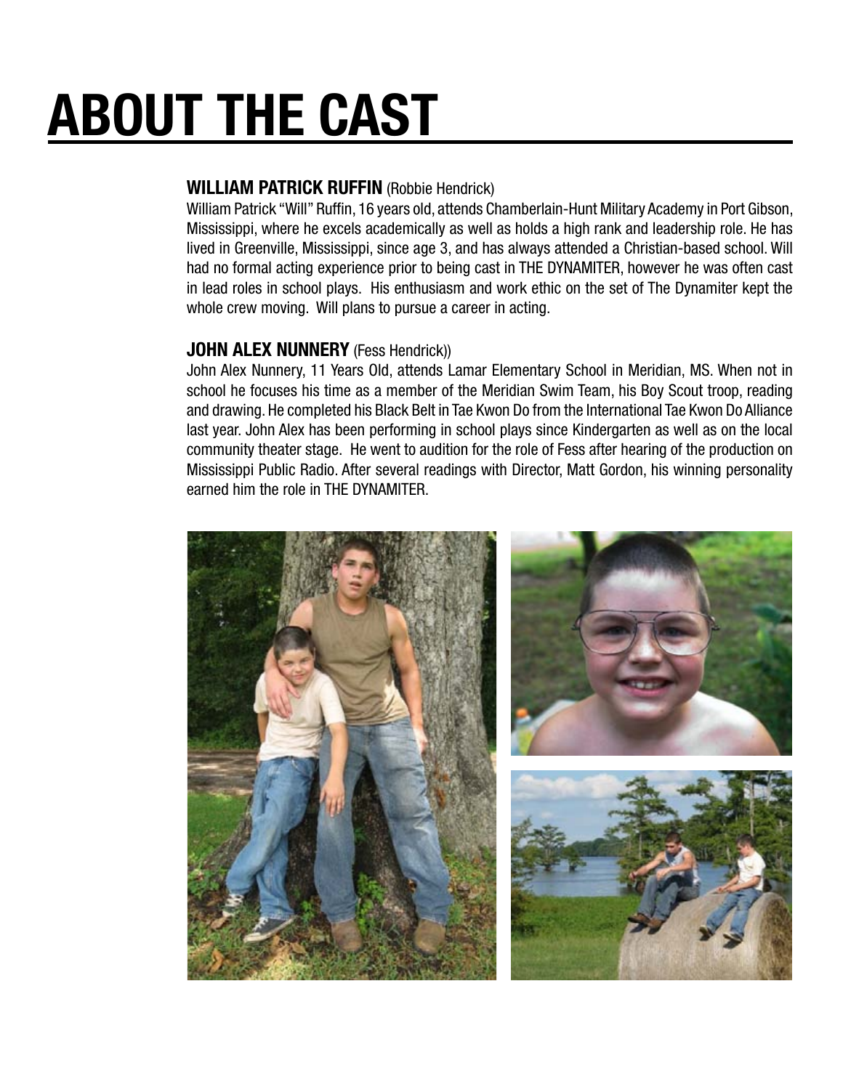# ABOUT THE CAST

## WILLIAM PATRICK RUFFIN (Robbie Hendrick)

William Patrick "Will" Ruffin, 16 years old, attends Chamberlain-Hunt Military Academy in Port Gibson, Mississippi, where he excels academically as well as holds a high rank and leadership role. He has lived in Greenville, Mississippi, since age 3, and has always attended a Christian-based school. Will had no formal acting experience prior to being cast in THE DYNAMITER, however he was often cast in lead roles in school plays. His enthusiasm and work ethic on the set of The Dynamiter kept the whole crew moving. Will plans to pursue a career in acting.

## **JOHN ALEX NUNNERY** (Fess Hendrick))

John Alex Nunnery, 11 Years Old, attends Lamar Elementary School in Meridian, MS. When not in school he focuses his time as a member of the Meridian Swim Team, his Boy Scout troop, reading and drawing. He completed his Black Belt in Tae Kwon Do from the International Tae Kwon Do Alliance last year. John Alex has been performing in school plays since Kindergarten as well as on the local community theater stage. He went to audition for the role of Fess after hearing of the production on Mississippi Public Radio. After several readings with Director, Matt Gordon, his winning personality earned him the role in THE DYNAMITER.

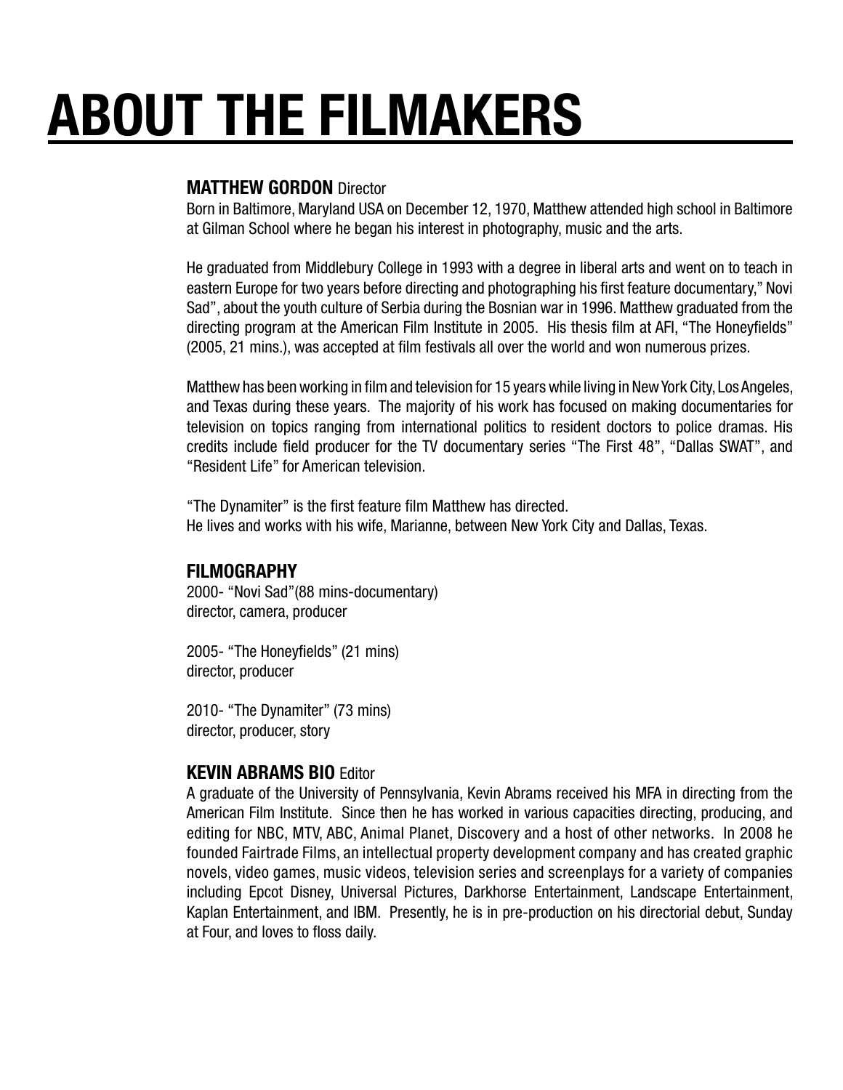# ABOUT THE FILMAKERS

### MATTHEW GORDON Director

Born in Baltimore, Maryland USA on December 12, 1970, Matthew attended high school in Baltimore at Gilman School where he began his interest in photography, music and the arts.

He graduated from Middlebury College in 1993 with a degree in liberal arts and went on to teach in eastern Europe for two years before directing and photographing his first feature documentary," Novi Sad", about the youth culture of Serbia during the Bosnian war in 1996. Matthew graduated from the directing program at the American Film Institute in 2005. His thesis film at AFI, "The Honeyfields" (2005, 21 mins.), was accepted at film festivals all over the world and won numerous prizes.

Matthew has been working in film and television for 15 years while living in New York City, Los Angeles, and Texas during these years. The majority of his work has focused on making documentaries for television on topics ranging from international politics to resident doctors to police dramas. His credits include field producer for the TV documentary series "The First 48", "Dallas SWAT", and "Resident Life" for American television.

"The Dynamiter" is the first feature film Matthew has directed. He lives and works with his wife, Marianne, between New York City and Dallas, Texas.

#### FILMOGRAPHY

2000- "Novi Sad"(88 mins-documentary) director, camera, producer

2005- "The Honeyfields" (21 mins) director, producer

2010- "The Dynamiter" (73 mins) director, producer, story

#### KEVIN ABRAMS BIO Editor

A graduate of the University of Pennsylvania, Kevin Abrams received his MFA in directing from the American Film Institute. Since then he has worked in various capacities directing, producing, and editing for NBC, MTV, ABC, Animal Planet, Discovery and a host of other networks. In 2008 he founded Fairtrade Films, an intellectual property development company and has created graphic novels, video games, music videos, television series and screenplays for a variety of companies including Epcot Disney, Universal Pictures, Darkhorse Entertainment, Landscape Entertainment, Kaplan Entertainment, and IBM. Presently, he is in pre-production on his directorial debut, Sunday at Four, and loves to floss daily.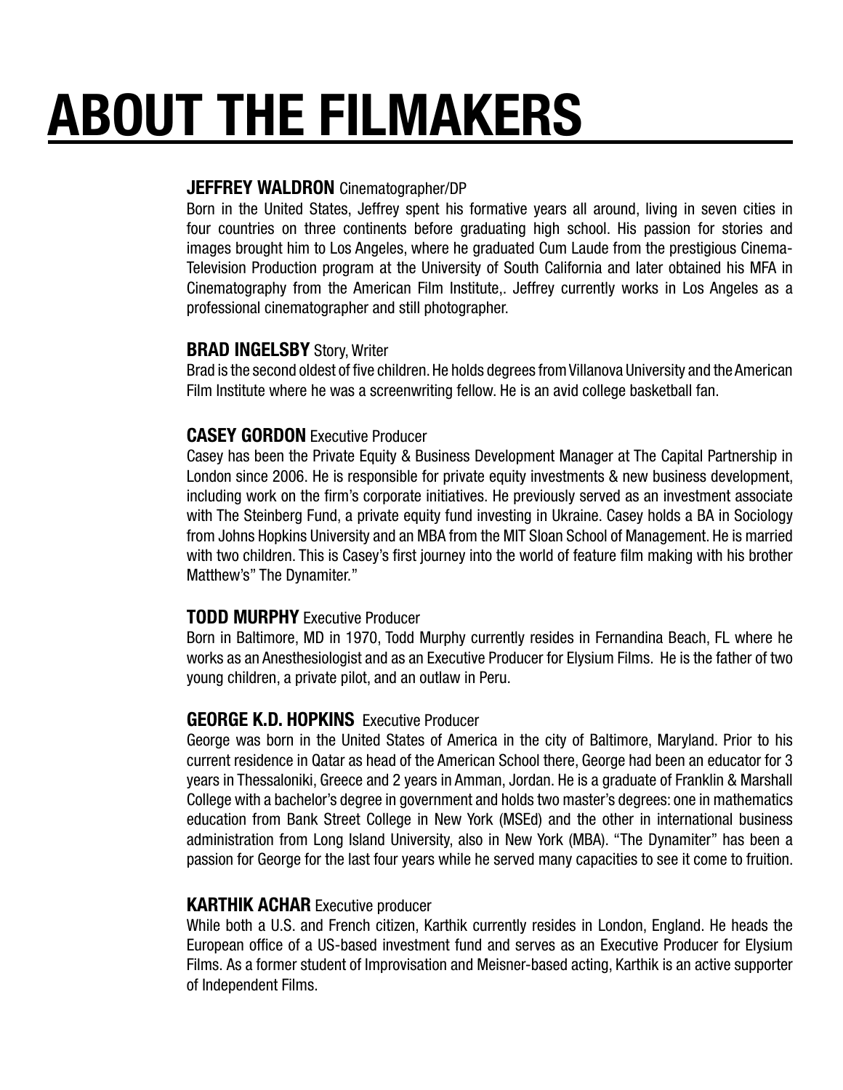# ABOUT THE FILMAKERS

#### JEFFREY WALDRON Cinematographer/DP

Born in the United States, Jeffrey spent his formative years all around, living in seven cities in four countries on three continents before graduating high school. His passion for stories and images brought him to Los Angeles, where he graduated Cum Laude from the prestigious Cinema-Television Production program at the University of South California and later obtained his MFA in Cinematography from the American Film Institute,. Jeffrey currently works in Los Angeles as a professional cinematographer and still photographer.

#### **BRAD INGELSBY Story, Writer**

Brad is the second oldest of five children. He holds degrees from Villanova University and the American Film Institute where he was a screenwriting fellow. He is an avid college basketball fan.

### CASEY GORDON Executive Producer

Casey has been the Private Equity & Business Development Manager at The Capital Partnership in London since 2006. He is responsible for private equity investments & new business development, including work on the firm's corporate initiatives. He previously served as an investment associate with The Steinberg Fund, a private equity fund investing in Ukraine. Casey holds a BA in Sociology from Johns Hopkins University and an MBA from the MIT Sloan School of Management. He is married with two children. This is Casey's first journey into the world of feature film making with his brother Matthew's" The Dynamiter."

## TODD MURPHY Executive Producer

Born in Baltimore, MD in 1970, Todd Murphy currently resides in Fernandina Beach, FL where he works as an Anesthesiologist and as an Executive Producer for Elysium Films. He is the father of two young children, a private pilot, and an outlaw in Peru.

## GEORGE K.D. HOPKINS Executive Producer

George was born in the United States of America in the city of Baltimore, Maryland. Prior to his current residence in Qatar as head of the American School there, George had been an educator for 3 years in Thessaloniki, Greece and 2 years in Amman, Jordan. He is a graduate of Franklin & Marshall College with a bachelor's degree in government and holds two master's degrees: one in mathematics education from Bank Street College in New York (MSEd) and the other in international business administration from Long Island University, also in New York (MBA). "The Dynamiter" has been a passion for George for the last four years while he served many capacities to see it come to fruition.

#### KARTHIK ACHAR Executive producer

While both a U.S. and French citizen, Karthik currently resides in London, England. He heads the European office of a US-based investment fund and serves as an Executive Producer for Elysium Films. As a former student of Improvisation and Meisner-based acting, Karthik is an active supporter of Independent Films.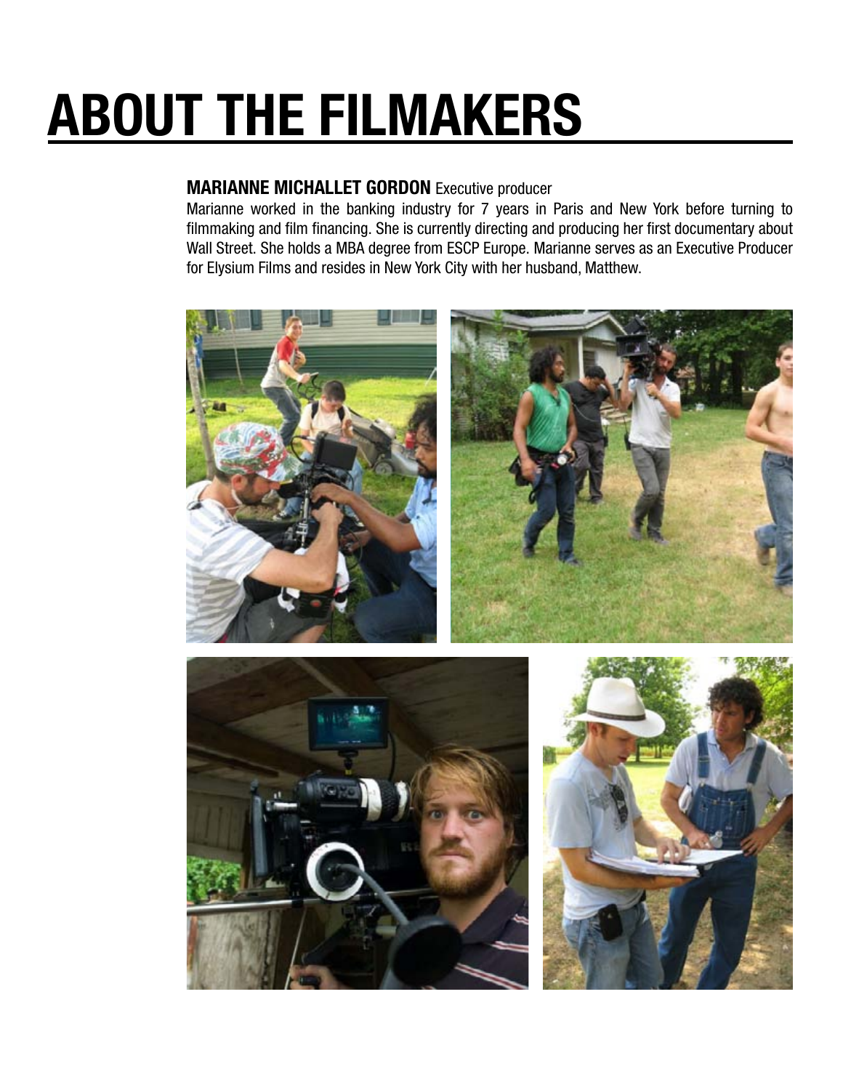# ABOUT THE FILMAKERS

## MARIANNE MICHALLET GORDON Executive producer

Marianne worked in the banking industry for 7 years in Paris and New York before turning to filmmaking and film financing. She is currently directing and producing her first documentary about Wall Street. She holds a MBA degree from ESCP Europe. Marianne serves as an Executive Producer for Elysium Films and resides in New York City with her husband, Matthew.





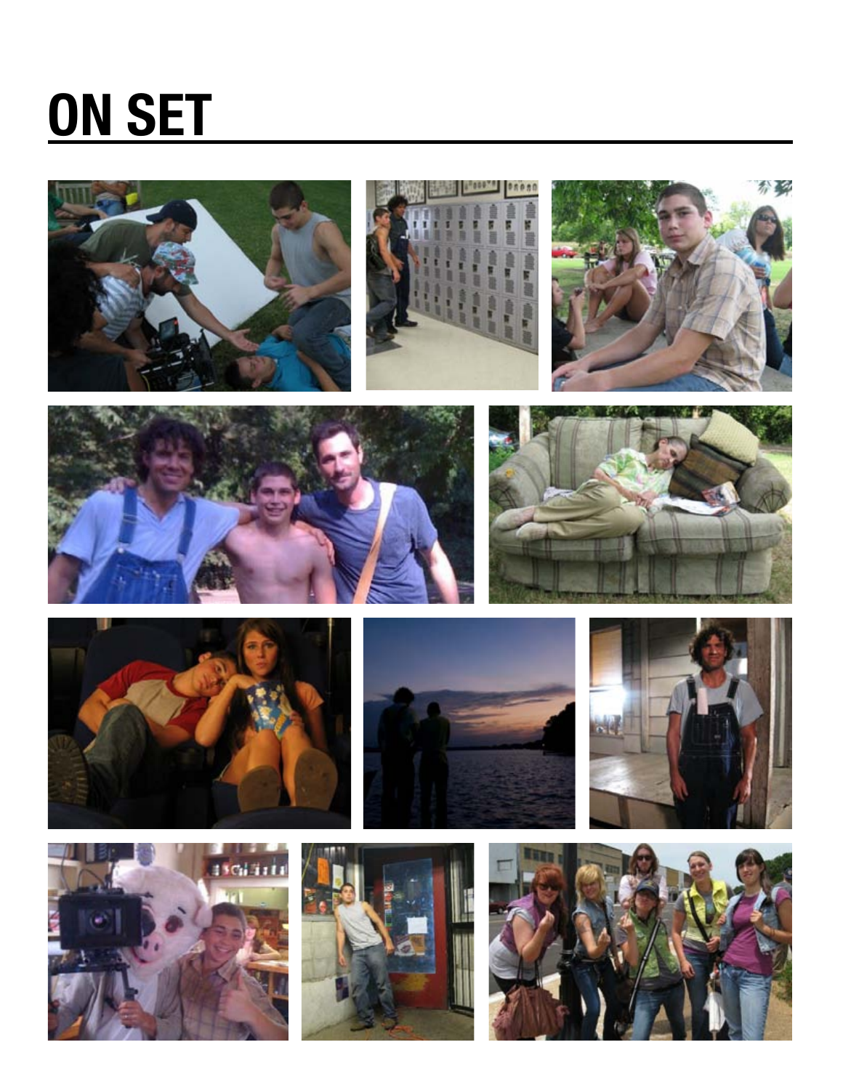## ON SET





















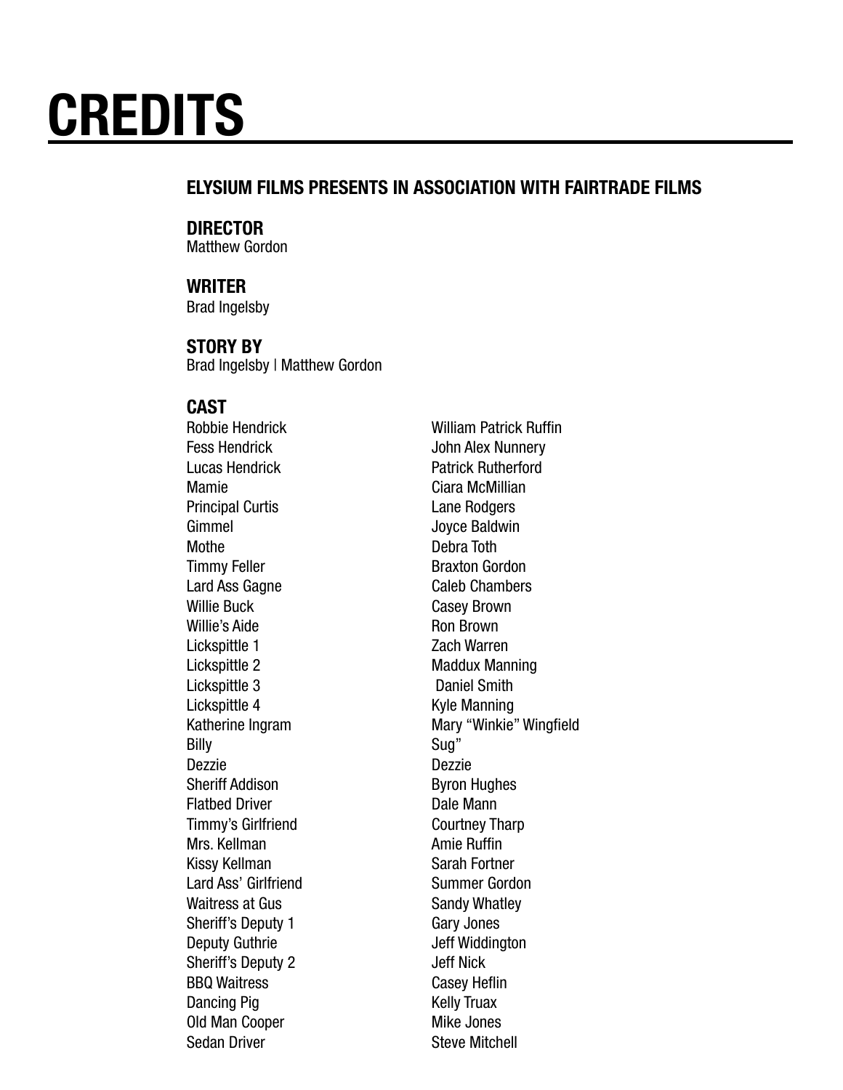## ELYSIUM FILMS PRESENTS IN ASSOCIATION WITH FAIRTRADE FILMS

## DIRECTOR

Matthew Gordon

## WRITER

Brad Ingelsby

#### STORY BY

Brad Ingelsby | Matthew Gordon

## CAST

Fess Hendrick **John Alex Nunnery** Lucas Hendrick Patrick Rutherford Mamie **Ciara McMillian Principal Curtis Lane Rodgers** Gimmel Joyce Baldwin Mothe Debra Toth Timmy Feller **Braxton Gordon** Lard Ass Gagne Caleb Chambers Willie Buck **Casey Brown** Willie's Aide **Ron Brown** Lickspittle 1 Zach Warren Lickspittle 2 Maddux Manning Lickspittle 3 Daniel Smith Lickspittle 4 Kyle Manning Billy Sug" Dezzie Dezzie Sheriff Addison **Byron Hughes** Flatbed Driver **Dale Mann** Timmy's Girlfriend Courtney Tharp Mrs. Kellman Amie Ruffin Kissy Kellman Sarah Fortner Lard Ass' Girlfriend Summer Gordon Waitress at Gus Sandy Whatley Sheriff's Deputy 1 Gary Jones Deputy Guthrie **Deputy Guthrie** Jeff Widdington Sheriff's Deputy 2 Jeff Nick BBQ Waitress Casey Heflin Dancing Pig **Kelly Truax** Old Man Cooper Mike Jones Sedan Driver Steve Mitchell

Robbie Hendrick William Patrick Ruffin Katherine Ingram Mary "Winkie" Wingfield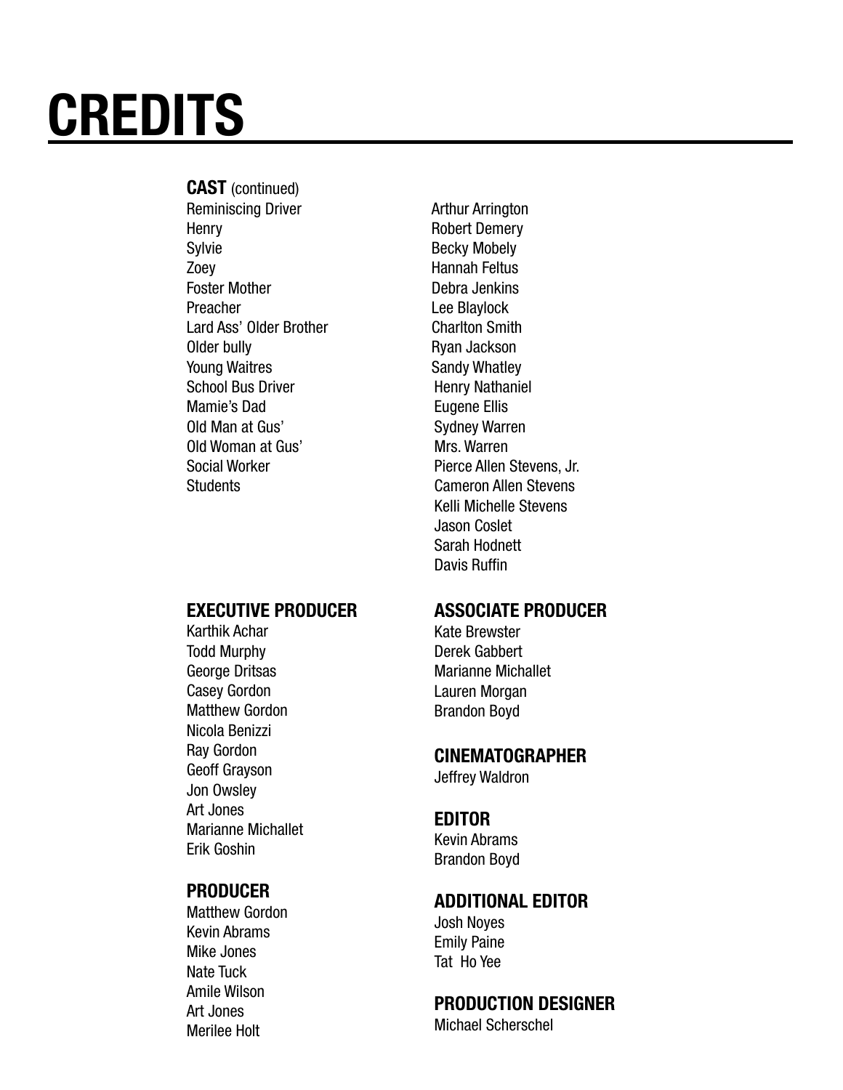## CAST (continued)

Reminiscing Driver **Arthur Arrington** Henry **Robert Demery** Sylvie Becky Mobely Zoey **Hannah Feltus** Foster Mother **Debra Jenkins** Preacher Lee Blaylock Lard Ass' Older Brother Charlton Smith Older bully **Ryan Jackson** Young Waitres Sandy Whatley School Bus Driver **Henry Nathaniel** Mamie's Dad **Eugene Ellis** Old Man at Gus' Sydney Warren Old Woman at Gus' Mrs. Warren

#### EXECUTIVE PRODUCER

Karthik Achar Todd Murphy George Dritsas Casey Gordon Matthew Gordon Nicola Benizzi Ray Gordon Geoff Grayson Jon Owsley Art Jones Marianne Michallet Erik Goshin

#### PRODUCER

Matthew Gordon Kevin Abrams Mike Jones Nate Tuck Amile Wilson Art Jones Merilee Holt

Social Worker **Pierce Allen Stevens, Jr.** Pierce Allen Stevens, Jr. Students Cameron Allen Stevens Kelli Michelle Stevens Jason Coslet Sarah Hodnett Davis Ruffin

#### ASSOCIATE PRODUCER

Kate Brewster Derek Gabbert Marianne Michallet Lauren Morgan Brandon Boyd

#### CINEMATOGRAPHER

Jeffrey Waldron

#### EDITOR

Kevin Abrams Brandon Boyd

## ADDITIONAL EDITOR

Josh Noyes Emily Paine Tat Ho Yee

#### PRODUCTION DESIGNER

Michael Scherschel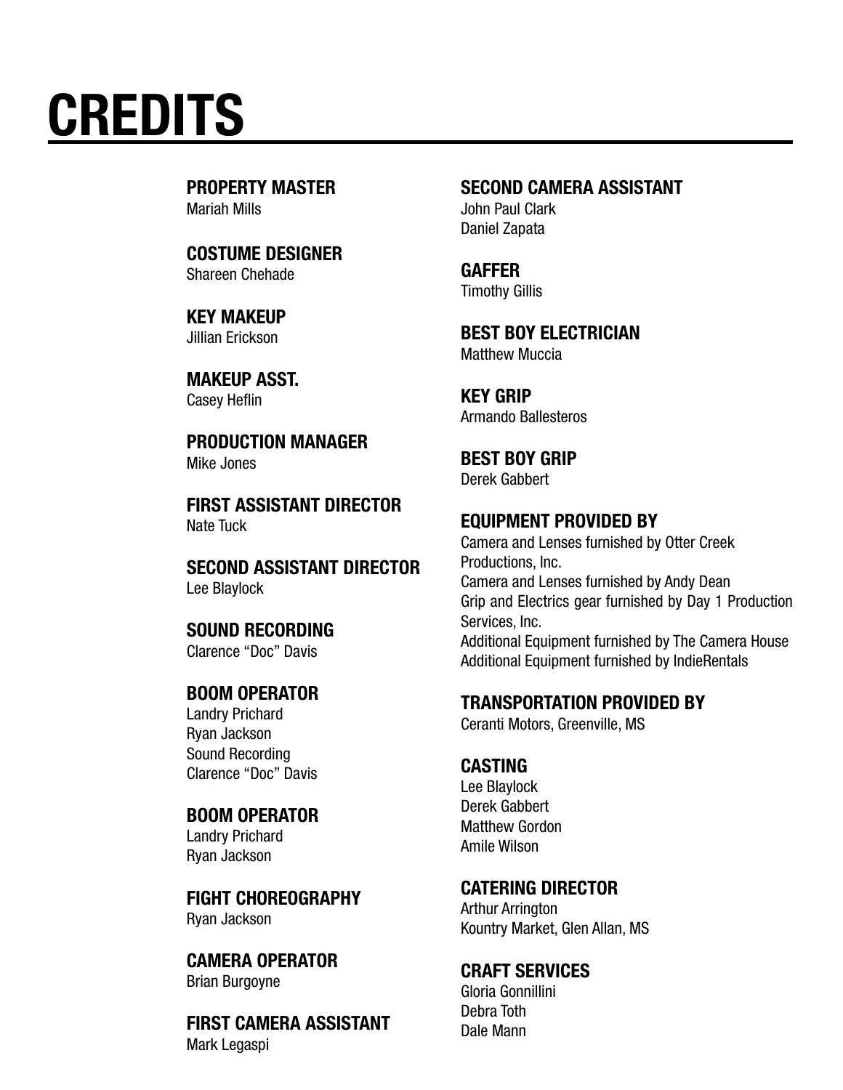PROPERTY MASTER Mariah Mills

COSTUME DESIGNER Shareen Chehade

KEY MAKEUP Jillian Erickson

MAKEUP ASST. Casey Heflin

PRODUCTION MANAGER Mike Jones

FIRST ASSISTANT DIRECTOR Nate Tuck

SECOND ASSISTANT DIRECTOR Lee Blaylock

SOUND RECORDING Clarence "Doc" Davis

BOOM OPERATOR Landry Prichard Ryan Jackson Sound Recording Clarence "Doc" Davis

#### BOOM OPERATOR

Landry Prichard Ryan Jackson

FIGHT CHOREOGRAPHY Ryan Jackson

CAMERA OPERATOR Brian Burgoyne

FIRST CAMERA ASSISTANT Mark Legaspi

#### SECOND CAMERA ASSISTANT

John Paul Clark Daniel Zapata

GAFFER Timothy Gillis

BEST BOY ELECTRICIAN Matthew Muccia

KEY GRIP Armando Ballesteros

BEST BOY GRIP

Derek Gabbert

#### EQUIPMENT PROVIDED BY

Camera and Lenses furnished by Otter Creek Productions, Inc. Camera and Lenses furnished by Andy Dean Grip and Electrics gear furnished by Day 1 Production Services, Inc. Additional Equipment furnished by The Camera House Additional Equipment furnished by IndieRentals

#### TRANSPORTATION PROVIDED BY

Ceranti Motors, Greenville, MS

#### CASTING

Lee Blaylock Derek Gabbert Matthew Gordon Amile Wilson

#### CATERING DIRECTOR

Arthur Arrington Kountry Market, Glen Allan, MS

### CRAFT SERVICES

Gloria Gonnillini Debra Toth Dale Mann